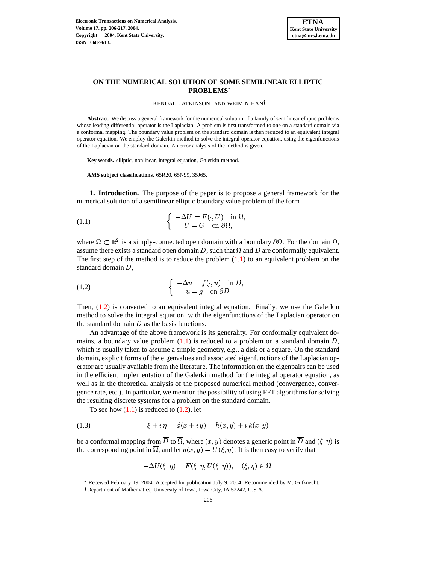

# **ON THE NUMERICAL SOLUTION OF SOME SEMILINEAR ELLIPTIC PROBLEMS**

<span id="page-0-0"></span>KENDALL ATKINSON AND WEIMIN HAN

**Abstract.** We discuss a general framework for the numerical solution of a family of semilinear elliptic problems whose leading differential operator is the Laplacian. A problem is first transformed to one on a standard domain via a conformal mapping. The boundary value problem on the standard domain is then reduced to an equivalent integral operator equation. We employ the Galerkin method to solve the integral operator equation, using the eigenfunctions of the Laplacian on the standard domain. An error analysis of the method is given.

**Key words.** elliptic, nonlinear, integral equation, Galerkin method.

**AMS subject classifications.** 65R20, 65N99, 35J65.

**1. Introduction.** The purpose of the paper is to propose a general framework for the numerical solution of a semilinear elliptic boundary value problem of the form

(1.1) 
$$
\begin{cases}\n-\Delta U = F(\cdot, U) & \text{in } \Omega, \\
U = G & \text{on } \partial \Omega,\n\end{cases}
$$

<span id="page-0-1"></span>where  $\Omega \subset \mathbb{R}^2$  is a simply-connected open domain with a boundary  $\partial \Omega$ . For the domain  $\Omega$ , assume there exists a standard open domain D, such that  $\overline{\Omega}$  and  $\overline{D}$  are conformally equivalent. The first step of the method is to reduce the problem  $(1.1)$  to an equivalent problem on the standard domain  $D$ ,

(1.2) 
$$
\begin{cases}\n-\Delta u = f(\cdot, u) & \text{in } D, \\
u = g & \text{on } \partial D.\n\end{cases}
$$

Then,  $(1.2)$  is converted to an equivalent integral equation. Finally, we use the Galerkin method to solve the integral equation, with the eigenfunctions of the Laplacian operator on the standard domain  $D$  as the basis functions.

An advantage of the above framework is its generality. For conformally equivalent domains, a boundary value problem  $(1.1)$  is reduced to a problem on a standard domain  $D$ , which is usually taken to assume a simple geometry, e.g., a disk or a square. On the standard domain, explicit forms of the eigenvalues and associated eigenfunctions of the Laplacian operator are usually available from the literature. The information on the eigenpairs can be used in the efficient implementation of the Galerkin method for the integral operator equation, as well as in the theoretical analysis of the proposed numerical method (convergence, convergence rate, etc.). In particular, we mention the possibility of using FFT algorithms for solving the resulting discrete systems for a problem on the standard domain.

To see how  $(1.1)$  is reduced to  $(1.2)$ , let

(1.3) 
$$
\xi + i \eta = \phi(x + i y) = h(x, y) + i k(x, y)
$$

be a conformal mapping from  $\overline D$  to  $\overline\Omega,$  where  $(x,y)$  denotes a generic point in  $\overline D$  and  $(\xi,\eta)$  is <sup>8</sup>  $\int$  is the corresponding point in  $\overline{\Omega}$ , and let  $u(x, y) = U(\xi, \eta)$ . It is t <sup>8</sup> . It is then easy to verify that

$$
-\Delta U(\xi, \eta) = F(\xi, \eta, U(\xi, \eta)), \quad (\xi, \eta) \in \Omega,
$$

<sup>\*</sup> Received February 19, 2004. Accepted for publication July 9, 2004. Recommended by M. Gutknecht.

Department of Mathematics, University of Iowa, Iowa City, IA 52242, U.S.A.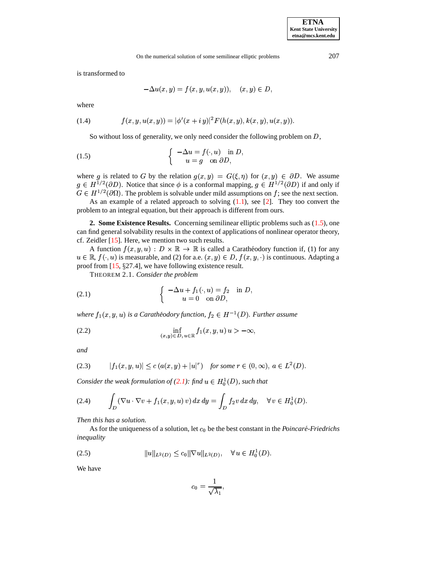is transformed to

$$
-\Delta u(x,y)=f(x,y,u(x,y)),\quad (x,y)\in D,
$$

<span id="page-1-3"></span>where

(1.4) 
$$
f(x, y, u(x, y)) = |\phi'(x + iy)|^2 F(h(x, y), k(x, y), u(x, y)).
$$

So without loss of generality, we only need consider the following problem on  $D$ ,

(1.5) 
$$
\begin{cases}\n-\Delta u = f(\cdot, u) & \text{in } D, \\
u = g & \text{on } \partial D,\n\end{cases}
$$

where g is related to G by the relation  $g(x, y) = G(\xi, \eta)$  for ( <sup>3</sup> <sup>8</sup> for  $(x, y) \in \partial D$ . We assume  $g \in H^{1/2}(\partial D)$ . Notice that since  $\phi$  is a conformal mapping,  $g \in H^{1/2}(\partial D)$  if and only if  $G \in H^{1/2}(\partial\Omega)$ . The problem is solvable under mild assumptions on f; see the next section.

As an example of a related approach to solving  $(1.1)$ , see [\[2\]](#page-11-0). They too convert the problem to an integral equation, but their approach is different from ours.

**2. Some Existence Results.** Concerning semilinear elliptic problems such as [\(1.5\)](#page-1-0), one can find general solvability results in the context of applications of nonlinear operator theory, cf. Zeidler [\[15\]](#page-11-1). Here, we mention two such results.

A function  $f(x, y, u) : D \times \mathbb{R} \to \mathbb{R}$  is called a Caratheodory function if, (1) for any  $u \in \mathbb{R}$ ,  $f(\cdot, u)$  is measurable, and (2) for a.e.  $(x, y) \in D$ ,  $f(x, y, \cdot)$  is continuous. Adapting a proof from  $[15, §27.4]$  $[15, §27.4]$ , we have following existence result.

<span id="page-1-1"></span>THEOREM 2.1. *Consider the problem*

(2.1) 
$$
\begin{cases}\n-\Delta u + f_1(\cdot, u) = f_2 & \text{in } D, \\
u = 0 & \text{on } \partial D,\n\end{cases}
$$

where  $f_1(x, y, u)$  is  $\sim$   $\sim$   $\sim$   $\sim$   $\sim$  $f, u$ ) *is a Carathéodory function,*  $f_2 \in H^{-1}(D)$ *. Further assume* 

(2.2) 
$$
\inf_{(x,y)\in D, u\in \mathbb{R}} f_1(x,y,u) u > -\infty,
$$

*and*

(2.3) 
$$
|f_1(x, y, u)| \le c(a(x, y) + |u|^r)
$$
 for some  $r \in (0, \infty)$ ,  $a \in L^2(D)$ .

*Consider the weak formulation of*  $(2.1)$ *: find*  $u \in H_0^1(D)$ *, such that* 

$$
(2.4) \qquad \int_D (\nabla u \cdot \nabla v + f_1(x, y, u) v) dx dy = \int_D f_2 v dx dy, \quad \forall v \in H_0^1(D).
$$

*Then this has a solution.*

As for the uniqueness of a solution, let  $c_0$  be the best constant in the *Poincaré-Friedrichs inequality*

(2.5) <sup>H</sup> \* HJILK M&N" 0O2< <sup>H</sup> > \* HJILK &P" GF \*2KQ <sup>&</sup>lt; (

We have

<span id="page-1-2"></span>
$$
c_0 = \frac{1}{\sqrt{\lambda_1}},
$$

<span id="page-1-0"></span>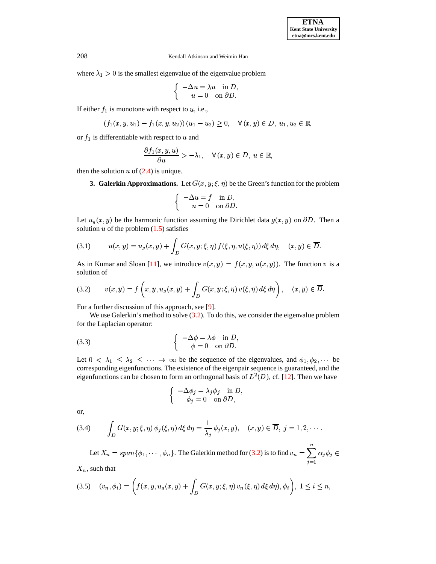208 Kendall Atkinson and Weimin Han

where  $\lambda_1 > 0$  is the smallest eigenvalue of the eigenvalue problem

$$
\begin{cases}\n-\Delta u = \lambda u & \text{in } D, \\
u = 0 & \text{on } \partial D.\n\end{cases}
$$

If either  $f_1$  is monotone with respect to  $u$ , i.e.,

$$
(f_1(x, y, u_1) - f_1(x, y, u_2)) (u_1 - u_2) \geq 0, \quad \forall (x, y) \in D, u_1, u_2 \in \mathbb{R},
$$

or  $f_1$  is differentiable with respect to  $u$  and

$$
\frac{\partial f_1(x,y,u)}{\partial u} > -\lambda_1, \quad \forall (x,y) \in D, u \in \mathbb{R},
$$

<span id="page-2-3"></span>then the solution  $u$  of  $(2.4)$  is unique.

**3. Galerkin Approximations.** Let  $G(x, y; \xi, \eta)$  be the Green's function for the problem

<span id="page-2-1"></span>
$$
\begin{cases}\n-\Delta u = f & \text{in } D, \\
u = 0 & \text{on } \partial D.\n\end{cases}
$$

Let  $u_g(x, y)$  be the harmonic function assuming the Dirichlet data  $g(x, y)$  on  $\partial D$ . Then a solution  $u$  of the problem  $(1.5)$  satisfies

(3.1) 
$$
u(x,y) = u_g(x,y) + \int_D G(x,y;\xi,\eta) f(\xi,\eta,u(\xi,\eta)) d\xi d\eta, \quad (x,y) \in \overline{D}.
$$

<span id="page-2-0"></span>As in Kumar and Sloan [\[11\]](#page-11-2), we introduce  $v(x, y) = f(x, y, u(x, y))$ @  $\mathcal{L}^{\text{max}}_{\text{max}}$  . The contract of the contract of the contract of the contract of the contract of the contract of the contract of the contract of the contract of the contract of the contract of the contract of the co @ ). The function  $v$  is a solution of

(3.2) 
$$
v(x,y) = f\left(x,y,u_g(x,y) + \int_D G(x,y;\xi,\eta) v(\xi,\eta) d\xi d\eta\right), \quad (x,y) \in \overline{D}.
$$

For a further discussion of this approach, see [\[9\]](#page-11-3).

We use Galerkin's method to solve [\(3.2\)](#page-2-0). To do this, we consider the eigenvalue problem for the Laplacian operator:

(3.3) 
$$
\begin{cases}\n-\Delta \phi = \lambda \phi & \text{in } D, \\
\phi = 0 & \text{on } \partial D.\n\end{cases}
$$

Let  $0 < \lambda_1 \leq \lambda_2 \leq \cdots \rightarrow \infty$  be the sequence of the eigenvalues, and  $\phi_1, \phi_2, \cdots$  be corresponding eigenfunctions. The existence of the eigenpair sequence is guaranteed, and the eigenfunctions can be chosen to form an orthogonal basis of  $L^2(D)$ , cf. [\[12\]](#page-11-4). Then we have

$$
\begin{cases}\n-\Delta \phi_j = \lambda_j \phi_j & \text{in } D, \\
\phi_j = 0 & \text{on } \partial D,\n\end{cases}
$$

or,

(3.4) 
$$
\int_D G(x,y;\xi,\eta) \phi_j(\xi,\eta) d\xi d\eta = \frac{1}{\lambda_j} \phi_j(x,y), \quad (x,y) \in \overline{D}, \ j = 1,2,\cdots.
$$

Let  $X_n = span{\phi_1, \dots, \phi_n}$ . The Galerkin method for [\(3.2\)](#page-2-0) is to find  $v_n = \sum_{i=1}^n \alpha_i \phi_i \in$ 

<span id="page-2-2"></span> $X_n$ , such that

$$
(3.5) \quad (v_n, \phi_i) = \left( f(x, y, u_g(x, y) + \int_D G(x, y; \xi, \eta) \, v_n(\xi, \eta) \, d\xi \, d\eta), \phi_i \right), \ 1 \le i \le n,
$$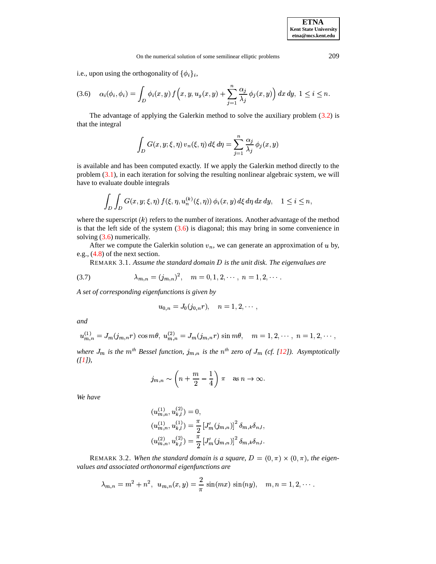<span id="page-3-0"></span>i.e., upon using the orthogonality of  $\{\phi_i\}_i$ ,

$$
(3.6) \quad \alpha_i(\phi_i, \phi_i) = \int_D \phi_i(x, y) f\Big(x, y, u_g(x, y) + \sum_{j=1}^n \frac{\alpha_j}{\lambda_j} \phi_j(x, y)\Big) dx dy, \ 1 \le i \le n.
$$

The advantage of applying the Galerkin method to solve the auxiliary problem [\(3.2\)](#page-2-0) is that the integral

$$
\int_D G(x, y; \xi, \eta) v_n(\xi, \eta) d\xi d\eta = \sum_{j=1}^n \frac{\alpha_j}{\lambda_j} \phi_j(x, y)
$$

is available and has been computed exactly. If we apply the Galerkin method directly to the problem [\(3.1\)](#page-2-1), in each iteration for solving the resulting nonlinear algebraic system, we will have to evaluate double integrals

$$
\int_D \int_D G(x, y; \xi, \eta) f(\xi, \eta, u_n^{(k)}(\xi, \eta)) \phi_i(x, y) d\xi d\eta dx dy, \quad 1 \leq i \leq n,
$$

where the superscript  $(k)$  refers to the number of iterations. Another advantage of the method is that the left side of the system  $(3.6)$  is diagonal; this may bring in some convenience in solving [\(3.6\)](#page-3-0) numerically.

After we compute the Galerkin solution  $v_n$ , we can generate an approximation of u by, e.g., [\(4.8\)](#page-5-0) of the next section.

REMARK 3.1. *Assume the standard domain* ( *is the unit disk. The eigenvalues are*

(3.7) 
$$
\lambda_{m,n} = (j_{m,n})^2, \quad m = 0, 1, 2, \cdots, n = 1, 2, \cdots.
$$

*A set of corresponding eigenfunctions is given by*

<span id="page-3-1"></span>
$$
u_{0,n}=J_0(j_{0,n}r),\quad n=1,2,\cdots,
$$

*and*

$$
u_{m,n}^{(1)} = J_m(j_{m,n}r) \cos m\theta, \ u_{m,n}^{(2)} = J_m(j_{m,n}r) \sin m\theta, \quad m = 1, 2, \cdots, n = 1, 2, \cdots,
$$

*where*  $J_m$  is the  $m^{th}$  Bessel function,  $j_{m,n}$  is the  $n^{th}$  zero of  $J_m$  (cf. [\[12\]](#page-11-4)). Asymptotically *([\[1\]](#page-11-5)),*

$$
j_{m,n} \sim \left(n + \frac{m}{2} - \frac{1}{4}\right)\pi
$$
 as  $n \to \infty$ .

*We have*

$$
(u_{m,n}^{(1)}, u_{k,l}^{(2)}) = 0,
$$
  
\n
$$
(u_{m,n}^{(1)}, u_{k,l}^{(1)}) = \frac{\pi}{2} \left[ J'_m(j_{m,n}) \right]^2 \delta_{m,k} \delta_{n,l},
$$
  
\n
$$
(u_{m,n}^{(2)}, u_{k,l}^{(2)}) = \frac{\pi}{2} \left[ J'_m(j_{m,n}) \right]^2 \delta_{m,k} \delta_{n,l}.
$$

REMARK 3.2. When the standard domain is a square,  $D = (0, \pi) \times (0, \pi)$ . . . . . . . . . . . . . . . . . . . . . . . . *, the eigenvalues and associated orthonormal eigenfunctions are*

$$
\lambda_{m,n} = m^2 + n^2
$$
,  $u_{m,n}(x, y) = \frac{2}{\pi} \sin(mx) \sin(ny)$ ,  $m, n = 1, 2, \cdots$ .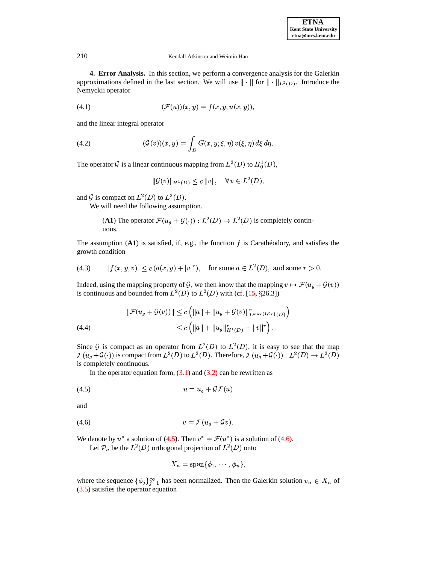#### 210 Kendall Atkinson and Weimin Han

**4. Error Analysis.** In this section, we perform a convergence analysis for the Galerkin approximations defined in the last section. We will use  $\|\cdot\|$  for  $\|\cdot\|_{L^2(\mathbb{R}^d)}$  $\Vert_{L^2(D)}$ . Introduce the Nemyckii operator

(4.1) 
$$
(\mathcal{F}(u))(x,y) = f(x,y,u(x,y)),
$$

and the linear integral operator

(4.2) 
$$
(\mathcal{G}(v))(x,y) = \int_D G(x,y;\xi,\eta) v(\xi,\eta) d\xi d\eta.
$$

The operator G is a linear continuous mapping from  $L^2(D)$  to  $H_0^1(D)$ ,

$$
\|\mathcal{G}(v)\|_{H^1(D)} \le c\, \|v\|, \quad \forall \, v \in L^2(D),
$$

and G is compact on  $L^2(D)$  to  $L^2(D)$ .

We will need the following assumption.

**(A1)** The operator 
$$
\mathcal{F}(u_g + \mathcal{G}(\cdot)) : L^2(D) \to L^2(D)
$$
 is completely continuous.

<span id="page-4-3"></span>The assumption  $(A1)$  is satisfied, if, e.g., the function  $f$  is Carathéodory, and satisfies the growth condition

(4.3) 
$$
|f(x, y, v)| \le c (a(x, y) + |v|^r)
$$
, for some  $a \in L^2(D)$ , and some  $r > 0$ .

Indeed, using the mapping property of G, we then know that the mapping  $v \mapsto \mathcal{F}(u_q + \mathcal{G}(v))$ is continuous and bounded from  $L^2(D)$  to  $L^2(D)$  with (cf. [\[15,](#page-11-1) §26.3])

<span id="page-4-2"></span>(4.4) 
$$
\|\mathcal{F}(u_g + \mathcal{G}(v))\| \le c \left( \|a\| + \|u_g + \mathcal{G}(v)\|_{L^{\max\{1,2r\}}(D)}^r \right) \le c \left( \|a\| + \|u_g\|_{H^1(D)}^r + \|v\|^r \right).
$$

Since G is compact as an operator from  $L^2(D)$  to  $L^2(D)$ , it is easy to see that the map <sup>4</sup>  $\mathcal{G}(\cdot)$ ) is compact from  $L^2(D)$  to  $L^2(D)$ . Therefore,  $\mathcal{F}(u_g + \mathcal{G}(\cdot)) : L^2(D) \to L^2(D)$ is completely continuous.

In the operator equation form,  $(3.1)$  and  $(3.2)$  can be rewritten as

<span id="page-4-1"></span>
$$
(4.5) \t\t u = u_q + \mathcal{GF}(u)
$$

and

$$
(4.6) \t\t v = \mathcal{F}(u_g + \mathcal{G}v).
$$

We denote by  $u^*$  a solution of [\(4.5\)](#page-4-0). Then  $v^* = \mathcal{F}(u^*)$  is a solution of [\(4.6\)](#page-4-1).

Let  $\mathcal{P}_n$  be the  $L^2(D)$  orthogonal projection of  $L^2(D)$  onto

<span id="page-4-0"></span>
$$
X_n = \text{span}\{\phi_1, \cdots, \phi_n\},\
$$

where the sequence  $\{\phi_i\}_{i=1}^{\infty}$  has been normalized. Then the Galerkin solution  $v_n \in X_n$  of [\(3.5\)](#page-2-2) satisfies the operator equation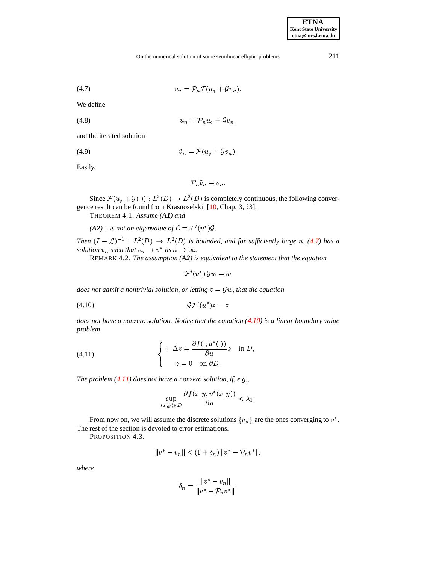### On the numerical solution of some semilinear elliptic problems 211

<span id="page-5-1"></span><span id="page-5-0"></span>
$$
(4.7) \t\t v_n = \mathcal{P}_n \mathcal{F}(u_g + \mathcal{G}v_n).
$$

We define

$$
(4.8) \t\t\t u_n = \mathcal{P}_n u_g + \mathcal{G}v_n,
$$

and the iterated solution

$$
(4.9) \t\t\t\t\t\tilde{v}_n = \mathcal{F}(u_g + \mathcal{G}v_n).
$$

Easily,

$$
\mathcal{P}_n\tilde{v}_n=v_n.
$$

Since  $\mathcal{F}(u_q + \mathcal{G}(\cdot)) : L^2(D) \to L^2(D)$  is completely continuous, the following conver-gence result can be found from Krasnoselskii [\[10,](#page-11-6) Chap. 3, §3].

THEOREM 4.1. *Assume (A1) and*

*(A2)* 1 *is not an eigenvalue of*  $\mathcal{L} = \mathcal{F}'(u^*)\mathcal{G}$ .

*Then*  $(I - \mathcal{L})^{-1}$  :  $L^2(D) \rightarrow L^2(D)$  *is bounded, and for sufficiently large n, [\(4.7\)](#page-5-1) has a solution*  $v_n$  *such that*  $v_n \to v^*$  *as*  $n \to \infty$ .

REMARK 4.2. *The assumption (A2) is equivalent to the statement that the equation*

<span id="page-5-2"></span>
$$
\mathcal{F}'(u^*)\, \mathcal{G} w = w
$$

 $d$ *oes* not *admit* a nontrivial solution, or letting  $z = \mathcal{G}w$ , that the equation

(4.10) - 

<span id="page-5-3"></span>*does not have a nonzero solution. Notice that the equation [\(4.10\)](#page-5-2) is a linear boundary value problem*

(4.11) 
$$
\begin{cases}\n-\Delta z = \frac{\partial f(\cdot, u^*(\cdot))}{\partial u} z & \text{in } D, \\
z = 0 & \text{on } \partial D.\n\end{cases}
$$

*The problem [\(4.11\)](#page-5-3) does not have a nonzero solution, if, e.g.,*

$$
\sup_{(x,y)\in D} \frac{\partial f(x,y,u^*(x,y))}{\partial u} < \lambda_1.
$$

<span id="page-5-4"></span>From now on, we will assume the discrete solutions  $\{v_n\}$  are the ones converging to  $v^*$ . The rest of the section is devoted to error estimations.

PROPOSITION 4.3.

$$
||v^* - v_n|| \le (1 + \delta_n) ||v^* - \mathcal{P}_n v^*||,
$$

*where*

$$
\delta_n=\frac{\|v^*-\tilde v_n\|}{\|v^*-\mathcal P_n v^*\|}.
$$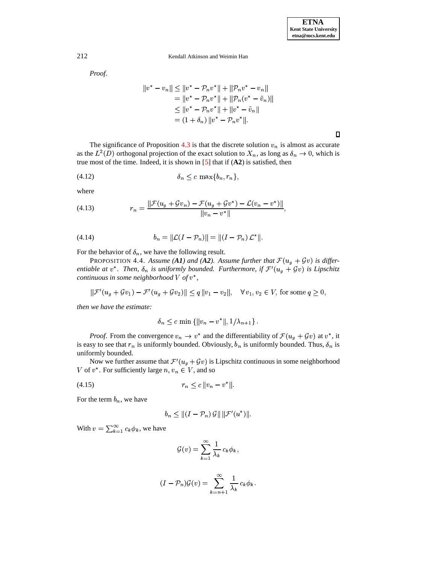### 212 Kendall Atkinson and Weimin Han

*Proof*.

$$
||v^* - v_n|| \le ||v^* - \mathcal{P}_n v^*|| + ||\mathcal{P}_n v^* - v_n||
$$
  
=  $||v^* - \mathcal{P}_n v^*|| + ||\mathcal{P}_n (v^* - \tilde{v}_n)||$   
 $\le ||v^* - \mathcal{P}_n v^*|| + ||v^* - \tilde{v}_n||$   
=  $(1 + \delta_n) ||v^* - \mathcal{P}_n v^*||.$ 

The significance of Proposition [4.3](#page-5-4) is that the discrete solution  $v_n$  is almost as accurate as the  $L^2(D)$  orthogonal projection of the exact solution to  $X_n$ , as long as  $\delta_n \to 0$ , which is true most of the time. Indeed, it is shown in [\[5\]](#page-11-7) that if (**A2**) is satisfied, then

(4.12) <sup>032</sup> - 7

where

(4.13) 
$$
r_n = \frac{\|\mathcal{F}(u_g + \mathcal{G}v_n) - \mathcal{F}(u_g + \mathcal{G}v^*) - \mathcal{L}(v_n - v^*)\|}{\|v_n - v^*\|},
$$

(4.14) 
$$
b_n = ||\mathcal{L}(I - \mathcal{P}_n)|| = ||(I - \mathcal{P}_n) \mathcal{L}^*||.
$$

<span id="page-6-1"></span>For the behavior of  $\delta_n$ , we have the following result.

PROPOSITION 4.4. Assume (A1) and (A2). Assume further that  $\mathcal{F}(u_g + \mathcal{G}v)$  is differ*entiable at*  $v^*$ . Then,  $\delta_n$  is uniformly bounded. Furthermore, if  $\mathcal{F}'(u_g + \mathcal{G}v)$ <sup>4</sup>  $\mathcal{G}v)$  is Lipschitz  $\emph{continuous}$  in some neighborhood  $V$  of  $v^*$ ,

$$
\|\mathcal{F}'(u_g + \mathcal{G}v_1) - \mathcal{F}'(u_g + \mathcal{G}v_2)\| \le q \|v_1 - v_2\|, \quad \forall v_1, v_2 \in V, \text{ for some } q \ge 0,
$$

*then we have the estimate:*

<span id="page-6-0"></span>
$$
\delta_n \leq c \min \left\{ ||v_n - v^*||, 1/\lambda_{n+1} \right\}.
$$

*Proof.* From the convergence  $v_n \to v^*$  and the differentiability of  $\mathcal{F}(u_q + \mathcal{G}v)$  at  $v^*$ , it is easy to see that  $r_n$  is uniformly bounded. Obviously,  $b_n$  is uniformly bounded. Thus,  $\delta_n$  is uniformly bounded.

Now we further assume that  $\mathcal{F}'(u_g + \mathcal{G}v)$  $4.2 \times 1.44 = 100$  $\mathcal{G}v$ ) is Lipschitz continuous in some neighborhood V of  $v^*$ . For sufficiently large  $n, v_n \in V$ , and so

(4.15) 7 <sup>032</sup> <sup>H</sup> <sup>A</sup> ;A <sup>H</sup> <sup>1</sup>

For the term  $b_n$ , we have

$$
b_n\leq\|(I-\mathcal{P}_n)\,\mathcal{G}\|\,\|\mathcal{F}'(u^*)\|.
$$

With  $v = \sum_{k=1}^{\infty} c_k \phi_k$ , we have

$$
\mathcal{G}(v) = \sum_{k=1}^{\infty} \frac{1}{\lambda_k} c_k \phi_k,
$$

$$
(I - \mathcal{P}_n)\mathcal{G}(v) = \sum_{k=n+1}^{\infty} \frac{1}{\lambda_k} c_k \phi_k.
$$

 $\Box$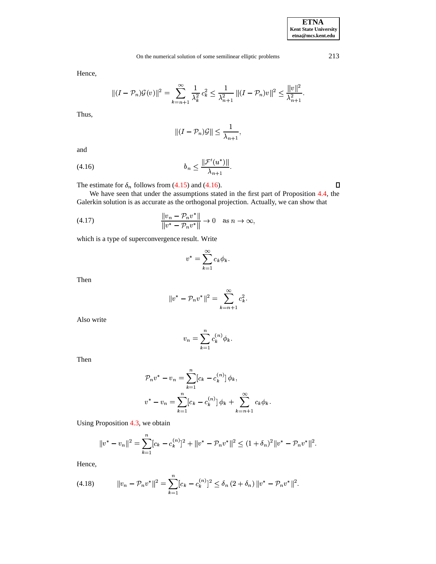# On the numerical solution of some semilinear elliptic problems 213

Hence,

$$
||(I - \mathcal{P}_n)\mathcal{G}(v)||^2 = \sum_{k=n+1}^{\infty} \frac{1}{\lambda_k^2} c_k^2 \le \frac{1}{\lambda_{n+1}^2} ||(I - \mathcal{P}_n)v||^2 \le \frac{||v||^2}{\lambda_{n+1}^2}.
$$

Thus,

$$
||(I - \mathcal{P}_n)\mathcal{G}|| \le \frac{1}{\lambda_{n+1}},
$$

<span id="page-7-0"></span>and

(4.16) 
$$
b_n \le \frac{\|\mathcal{F}'(u^*)\|}{\lambda_{n+1}}.
$$

The estimate for  $\delta_n$  follows from [\(4.15\)](#page-6-0) and [\(4.16\)](#page-7-0).

We have seen that under the assumptions stated in the first part of Proposition [4.4,](#page-6-1) the Galerkin solution is as accurate as the orthogonal projection. Actually, we can show that

(4.17) 
$$
\frac{\|v_n - \mathcal{P}_n v^*\|}{\|v^* - \mathcal{P}_n v^*\|} \to 0 \quad \text{as } n \to \infty,
$$

which is a type of superconvergence result. Write

$$
v^* = \sum_{k=1}^{\infty} c_k \phi_k.
$$

Then

$$
||v^* - \mathcal{P}_n v^*||^2 = \sum_{k=n+1}^{\infty} c_k^2.
$$

Also write

$$
v_n = \sum_{k=1}^n c_k^{(n)} \phi_k.
$$

Then

$$
\mathcal{P}_n v^* - v_n = \sum_{k=1}^n [c_k - c_k^{(n)}] \phi_k,
$$
  

$$
v^* - v_n = \sum_{k=1}^n [c_k - c_k^{(n)}] \phi_k + \sum_{k=n+1}^\infty c_k \phi_k.
$$

Using Proposition [4.3,](#page-5-4) we obtain

$$
||v^* - v_n||^2 = \sum_{k=1}^n [c_k - c_k^{(n)}]^2 + ||v^* - \mathcal{P}_n v^*||^2 \le (1 + \delta_n)^2 ||v^* - \mathcal{P}_n v^*||^2.
$$

Hence,

$$
(4.18) \t\t ||v_n - \mathcal{P}_n v^*||^2 = \sum_{k=1}^n [c_k - c_k^{(n)}]^2 \leq \delta_n (2 + \delta_n) ||v^* - \mathcal{P}_n v^*||^2.
$$

<span id="page-7-1"></span> $\Box$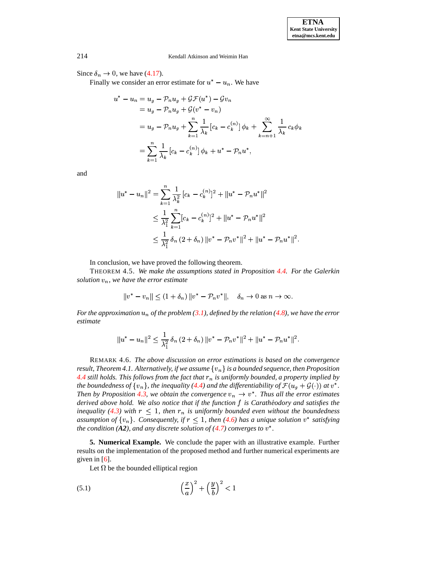<sup>1</sup>

### 214 Kendall Atkinson and Weimin Han

Since  $\delta_n \to 0$ , we have [\(4.17\)](#page-7-1).

Finally we consider an error estimate for  $u^* - u_n$ . We have

$$
u^* - u_n = u_g - \mathcal{P}_n u_g + \mathcal{G} \mathcal{F}(u^*) - \mathcal{G} v_n
$$
  
=  $u_g - \mathcal{P}_n u_g + \mathcal{G}(v^* - v_n)$   
=  $u_g - \mathcal{P}_n u_g + \sum_{k=1}^n \frac{1}{\lambda_k} [c_k - c_k^{(n)}] \phi_k + \sum_{k=n+1}^\infty \frac{1}{\lambda_k} c_k \phi_k$   
=  $\sum_{k=1}^n \frac{1}{\lambda_k} [c_k - c_k^{(n)}] \phi_k + u^* - \mathcal{P}_n u^*,$ 

and

$$
||u^* - u_n||^2 = \sum_{k=1}^n \frac{1}{\lambda_k^2} [c_k - c_k^{(n)}]^2 + ||u^* - \mathcal{P}_n u^*||^2
$$
  
\n
$$
\leq \frac{1}{\lambda_1^2} \sum_{k=1}^n [c_k - c_k^{(n)}]^2 + ||u^* - \mathcal{P}_n u^*||^2
$$
  
\n
$$
\leq \frac{1}{\lambda_1^2} \delta_n (2 + \delta_n) ||v^* - \mathcal{P}_n v^*||^2 + ||u^* - \mathcal{P}_n u^*||^2.
$$

In conclusion, we have proved the following theorem.

THEOREM 4.5. *We make the assumptions stated in Proposition [4.4.](#page-6-1) For the Galerkin* solution  $v_n$ , we have the error estimate

$$
||v^* - v_n|| \le (1 + \delta_n) ||v^* - \mathcal{P}_n v^*||, \quad \delta_n \to 0 \text{ as } n \to \infty.
$$

For the approximation  $u_n$  of the problem  $(3.1)$ , defined by the relation  $(4.8)$ , we have the error *estimate*

$$
||u^*-u_n||^2 \leq \frac{1}{\lambda_1^2} \, \delta_n \, (2+\delta_n) \, ||v^* - \mathcal{P}_n v^*||^2 + ||u^* - \mathcal{P}_n u^*||^2.
$$

REMARK 4.6. *The above discussion on error estimations is based on the convergence result, Theorem* 4.1. Alternatively, if we assume  $\{v_n\}$  is a bounded sequence, then Proposition *[4.4](#page-6-1) still holds. This follows from the fact that* 7 *is uniformly bounded, a property implied by the boundedness of*  $\{v_n\}$ , *the inequality* [\(4.4\)](#page-4-2) *and the differentiability of*  $\mathcal{F}(u_g + \mathcal{G}(\cdot))$  *at*  $v^*$ . *Then* by Proposition [4.3,](#page-5-4) we obtain the convergence  $v_n \to v^*$ . *Thus all the error estimates derived above hold. We also notice that if the function* - *is Caratheodory ´ and satisfies the inequality* [\(4.3\)](#page-4-3) with  $r \leq 1$ , then  $r_n$  is uniformly bounded even without the boundedness assumption of  $\{v_n\}$ . Consequently, if  $r \leq 1$ , then [\(4.6\)](#page-4-1) has a unique solution  $v^*$  satisfying *the condition* (A2), and any discrete solution of [\(4.7\)](#page-5-1) converges to  $v^*$ .

**5. Numerical Example.** We conclude the paper with an illustrative example. Further results on the implementation of the proposed method and further numerical experiments are given in  $[6]$ .

<span id="page-8-0"></span>Let  $\Omega$  be the bounded elliptical region

$$
(5.1)\qquad \qquad \left(\frac{x}{a}\right)^2 + \left(\frac{y}{b}\right)^2 < 1
$$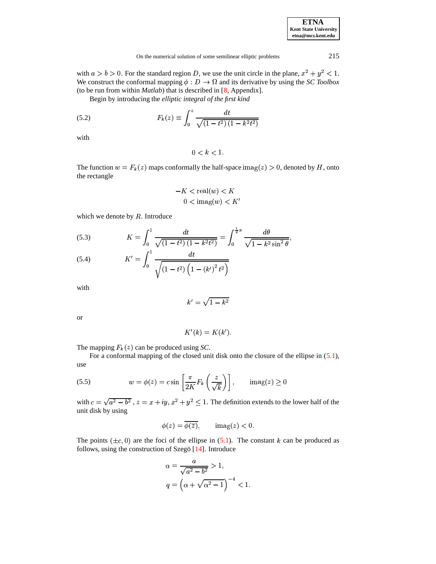| <b>ETNA</b>                  |
|------------------------------|
| <b>Kent State University</b> |
| etna@mcs.kent.edu            |

with  $a > b > 0$ . For the standard region D, we use the unit circle in the plane,  $x^2 + y^2 < 1$ . We construct the conformal mapping  $\phi: D \to \Omega$  and its derivative by using the *SC Toolbox* (to be run from within *Matlab*) that is described in [\[8,](#page-11-9) Appendix].

Begin by introducing the *elliptic integral of the first kind*

(5.2) 
$$
F_k(z) \equiv \int_0^z \frac{dt}{\sqrt{(1-t^2)(1-k^2t^2)}}
$$

with

<span id="page-9-0"></span>
$$
0 < k < 1.
$$

The function  $w = F_k(z)$  map ) maps conformally the half-space  $\text{imag}(z) > 0$ , denoted by H, onto the rectangle

$$
-K < \text{real}(w) < K
$$
\n
$$
0 < \text{imag}(w) < K'
$$

which we denote by  $R$ . Introduce

(5.3) 
$$
K = \int_0^1 \frac{dt}{\sqrt{(1 - t^2)(1 - k^2 t^2)}} = \int_0^{\frac{1}{2}\pi} \frac{d\theta}{\sqrt{1 - k^2 \sin^2 \theta}},
$$

(5.4) 
$$
K' = \int_0^1 \frac{dt}{\sqrt{(1 - t^2) (1 - (k')^2 t^2)}}
$$

with

$$
k'=\sqrt{1-k^2}
$$

or

$$
K'(k) = K(k').
$$

The mapping  $F_k(z)$  can be prod can be produced using *SC*.

For a conformal mapping of the closed unit disk onto the closure of the ellipse in [\(5.1\)](#page-8-0), use

(5.5) 
$$
w = \phi(z) = c \sin\left[\frac{\pi}{2K} F_k\left(\frac{z}{\sqrt{k}}\right)\right], \quad \text{imag}(z) \ge 0
$$

with  $c = \sqrt{a^2 - b^2}$ ,  $z = x + iy$ ,  $x^2 + y^2 \le 1$ . The definition extends to the lower half of the unit disk by using

$$
\phi(z) = \overline{\phi(\overline{z})}, \qquad \text{imag}(z) < 0.
$$

The points  $(\pm c, 0)$  are the foci of the ellipse in [\(5.1\)](#page-8-0). The constant k can be produced as follows, using the construction of Szegö  $[14]$ . Introduce

$$
\alpha = \frac{a}{\sqrt{a^2 - b^2}} > 1,
$$
  
\n
$$
q = \left(\alpha + \sqrt{\alpha^2 - 1}\right)^{-4} < 1.
$$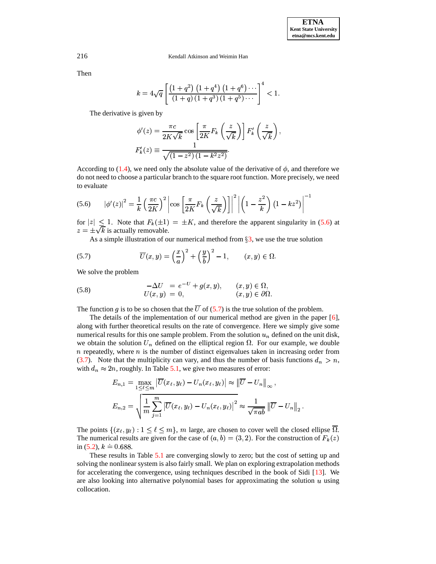216 Kendall Atkinson and Weimin Han

Then

$$
k = 4\sqrt{q} \left[ \frac{\left(1+q^2\right) \left(1+q^4\right) \left(1+q^6\right) \cdots}{\left(1+q\right) \left(1+q^3\right) \left(1+q^5\right) \cdots} \right]^4 < 1.
$$

The derivative is given by

<span id="page-10-1"></span>
$$
\phi'(z) = \frac{\pi c}{2K\sqrt{k}} \cos\left[\frac{\pi}{2K}F_k\left(\frac{z}{\sqrt{k}}\right)\right] F'_k\left(\frac{z}{\sqrt{k}}\right),
$$
  

$$
F'_k(z) \equiv \frac{1}{\sqrt{(1-z^2)(1-k^2z^2)}}.
$$

<span id="page-10-0"></span>According to [\(1.4\)](#page-1-3), we need only the absolute value of the derivative of  $\phi$ , and therefore we do not need to choose a particular branch to the square root function. More precisely, we need to evaluate

$$
(5.6) \qquad \left|\phi'(z)\right|^2 = \frac{1}{k} \left(\frac{\pi c}{2K}\right)^2 \left|\cos\left[\frac{\pi}{2K}F_k\left(\frac{z}{\sqrt{k}}\right)\right]\right|^2 \left|\left(1 - \frac{z^2}{k}\right)\left(1 - kz^2\right)\right|^{-1}
$$

for  $|z| \leq 1$ . Note that  $F_k(\pm 1) = \pm K$ , and therefore the apparent singularity in [\(5.6\)](#page-10-0) at  $z = \pm \sqrt{k}$  is actually removable.

As a simple illustration of our numerical method from  $\S$ [3,](#page-2-3) we use the true solution

(5.7) 
$$
\overline{U}(x,y) = \left(\frac{x}{a}\right)^2 + \left(\frac{y}{b}\right)^2 - 1, \qquad (x,y) \in \Omega.
$$

We solve the problem

(5.8) 
$$
-\Delta U = e^{-U} + g(x, y), \qquad (x, y) \in \Omega,
$$

$$
U(x, y) = 0, \qquad (x, y) \in \partial\Omega.
$$

The function g is to be so chosen that the  $\overline{U}$  of [\(5.7\)](#page-10-1) is the true solution of the problem.

The details of the implementation of our numerical method are given in the paper [\[6\]](#page-11-8), along with further theoretical results on the rate of convergence. Here we simply give some numerical results for this one sample problem. From the solution  $u_n$  defined on the unit disk, we obtain the solution  $U_n$  defined on the elliptical region  $\Omega$ . For our example, we double  $n$  repeatedly, where  $n$  is the number of distinct eigenvalues taken in increasing order from [\(3.7\)](#page-3-1). Note that the multiplicity can vary, and thus the number of basis functions  $d_n > n$ , with  $d_n \approx 2n$ , roughly. If  $2n$ , roughly. In Table  $5.1$ , we give two measures of error:

$$
E_{n,1} = \max_{1 \leq \ell \leq m} \left| \overline{U}(x_{\ell}, y_{\ell}) - U_n(x_{\ell}, y_{\ell}) \right| \approx \left\| \overline{U} - U_n \right\|_{\infty},
$$
  

$$
E_{n,2} = \sqrt{\frac{1}{m} \sum_{j=1}^{m} \left| \overline{U}(x_{\ell}, y_{\ell}) - U_n(x_{\ell}, y_{\ell}) \right|^2} \approx \frac{1}{\sqrt{\pi a b}} \left\| \overline{U} - U_n \right\|_2.
$$

The points  $\{(x_\ell, y_\ell): 1 \leq \ell \leq m\}$ , m large, are chosen to cover well the closed ellipse  $\overline{\Omega}$ . The numerical results are given for the case of  $(a, b) = (3, 2)$ . For the construction of  $F<sub>k</sub>(z)$  $\sim$  1 in [\(5.2\)](#page-9-0),  $k = 0.688$ .

These results in Table [5.1](#page-11-11) are converging slowly to zero; but the cost of setting up and solving the nonlinear system is also fairly small. We plan on exploring extrapolation methods for accelerating the convergence, using techniques described in the book of Sidi [\[13\]](#page-11-12). We are also looking into alternative polynomial bases for approximating the solution  $u$  using collocation.